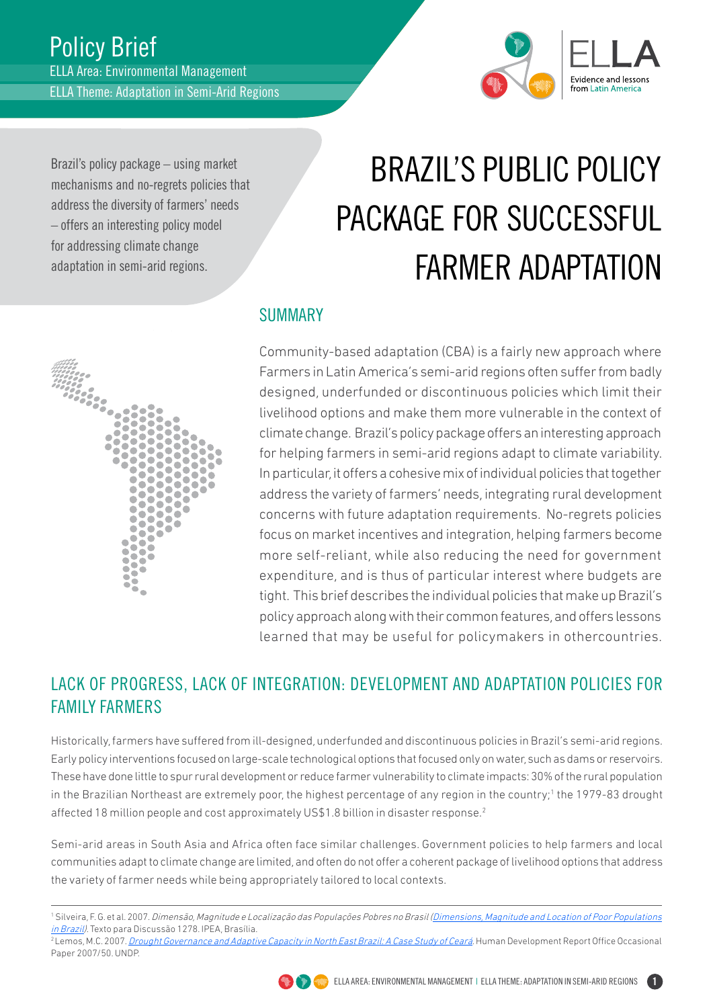

Brazil's policy package – using market mechanisms and no-regrets policies that address the diversity of farmers' needs – offers an interesting policy model for addressing climate change adaptation in semi-arid regions.

# Brazil's Public Policy Package for Successful Farmer Adaptation

### SUMMARY

Community-based adaptation (CBA) is a fairly new approach where Farmers in Latin America's semi-arid regions often suffer from badly designed, underfunded or discontinuous policies which limit their livelihood options and make them more vulnerable in the context of climate change. Brazil's policy package offers an interesting approach for helping farmers in semi-arid regions adapt to climate variability. In particular, it offers a cohesive mix of individual policies that together address the variety of farmers' needs, integrating rural development concerns with future adaptation requirements. No-regrets policies focus on market incentives and integration, helping farmers become more self-reliant, while also reducing the need for government expenditure, and is thus of particular interest where budgets are tight. This brief describes the individual policies that make up Brazil's policy approach along with their common features, and offers lessons learned that may be useful for policymakers in othercountries.

## LACK OF PROGRESS, LACK OF INTEGRATION: DEVELOPMENT AND ADAPTATION POLICIES FOR FAMILY FARMERS

Historically, farmers have suffered from ill-designed, underfunded and discontinuous policies in Brazil's semi-arid regions. Early policy interventions focused on large-scale technological options that focused only on water, such as dams or reservoirs. These have done little to spur rural development or reduce farmer vulnerability to climate impacts: 30% of the rural population in the Brazilian Northeast are extremely poor, the highest percentage of any region in the country;<sup>1</sup> the 1979-83 drought affected 18 million people and cost approximately US\$1.8 billion in disaster response.2

Semi-arid areas in South Asia and Africa often face similar challenges. Government policies to help farmers and local communities adapt to climate change are limited, and often do not offer a coherent package of livelihood options that address the variety of farmer needs while being appropriately tailored to local contexts.





<sup>&</sup>lt;sup>1</sup> Silveira, F. G. et al. 2007. *Dimensão, Magnitude e Localização das Populações Pobres no Brasil (<u>Dimensions, Magnitude and Location of Poor Populations</u>* in Brazil). Texto para Discussão 1278. IPEA, Brasília.<br><sup>2</sup> Lemos, M.C. 2007. *[Drought Governance and Adaptive Capacity in North East Brazil: A Case Study of Ceará](http://hdr.undp.org/en/reports/global/hdr2007-8/papers/Lemos_Maria%20Carmen.pdf)*. Human Development Report Office Occasional

Paper 2007/50. UNDP.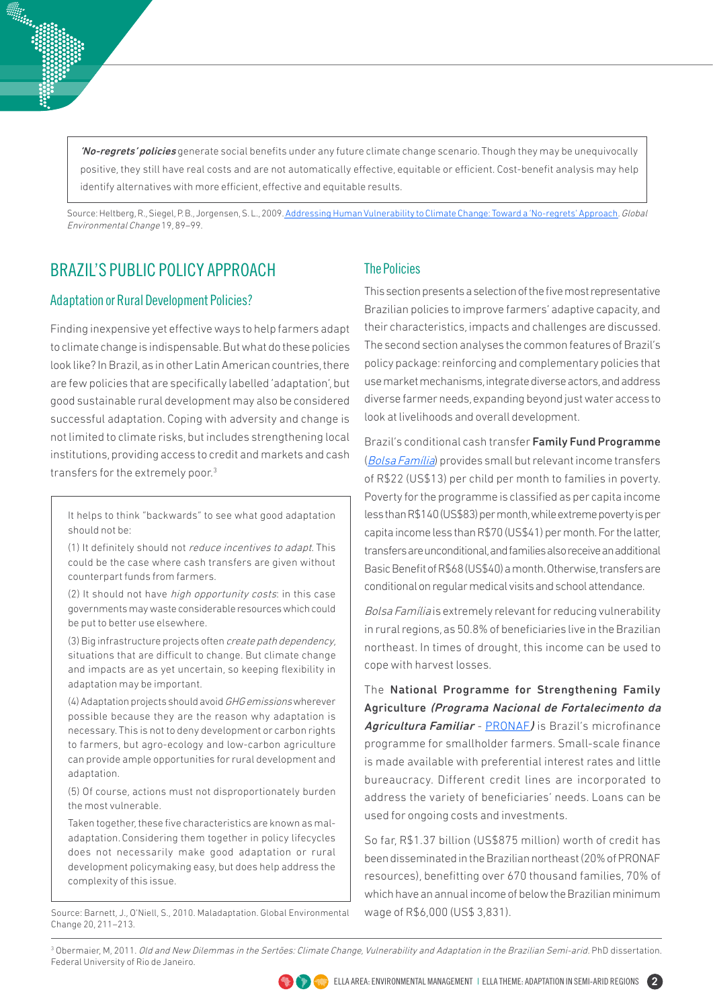'No-regrets' policies generate social benefits under any future climate change scenario. Though they may be unequivocally positive, they still have real costs and are not automatically effective, equitable or efficient. Cost-benefit analysis may help identify alternatives with more efficient, effective and equitable results.

Source: Heltberg, R., Siegel, P. B., Jorgensen, S. L., 2009. [Addressing Human Vulnerability to Climate Change: Toward a 'No-regrets' Approach](http://www.sciencedirect.com/science/article/pii/S0959378008001155). Global Environmental Change 19, 89–99.

## BRAZIL'S PUBLIC POLICY APPROACH

#### Adaptation or Rural Development Policies?

Finding inexpensive yet effective ways to help farmers adapt to climate change is indispensable. But what do these policies look like? In Brazil, as in other Latin American countries, there are few policies that are specifically labelled 'adaptation', but good sustainable rural development may also be considered successful adaptation. Coping with adversity and change is not limited to climate risks, but includes strengthening local institutions, providing access to credit and markets and cash transfers for the extremely poor.3

It helps to think "backwards" to see what good adaptation should not be:

(1) It definitely should not reduce incentives to adapt. This could be the case where cash transfers are given without counterpart funds from farmers.

(2) It should not have high opportunity costs: in this case governments may waste considerable resources which could be put to better use elsewhere.

(3) Big infrastructure projects often create path dependency, situations that are difficult to change. But climate change and impacts are as yet uncertain, so keeping flexibility in adaptation may be important.

(4) Adaptation projects should avoid GHG emissions wherever possible because they are the reason why adaptation is necessary. This is not to deny development or carbon rights to farmers, but agro-ecology and low-carbon agriculture can provide ample opportunities for rural development and adaptation.

(5) Of course, actions must not disproportionately burden the most vulnerable.

Taken together, these five characteristics are known as maladaptation.Considering them together in policy lifecycles does not necessarily make good adaptation or rural development policymaking easy, but does help address the complexity of this issue.

Source: Barnett, J., O'Niell, S., 2010. Maladaptation. Global Environmental Change 20, 211–213.

#### The Policies

This section presents a selection of the five most representative Brazilian policies to improve farmers' adaptive capacity, and their characteristics, impacts and challenges are discussed. The second section analyses the common features of Brazil's policy package: reinforcing and complementary policies that use market mechanisms, integrate diverse actors, and address diverse farmer needs, expanding beyond just water access to look at livelihoods and overall development.

Brazil's conditional cash transfer Family Fund Programme ([Bolsa Família](http://translate.google.com/translate?hl=es&sl=pt&tl=en&u=http%3A%2F%2Fwww.mds.gov.br%2Fbolsafamilia)) provides small but relevant income transfers of R\$22 (US\$13) per child per month to families in poverty. Poverty for the programme is classified as per capita income less than R\$140 (US\$83) per month, while extreme poverty is per capita income less than R\$70 (US\$41) per month. For the latter, transfers are unconditional, and families also receive an additional Basic Benefit of R\$68 (US\$40) a month. Otherwise, transfers are conditional on regular medical visits and school attendance.

Bolsa Família is extremely relevant for reducing vulnerability in rural regions, as 50.8% of beneficiaries live in the Brazilian northeast. In times of drought, this income can be used to cope with harvest losses.

The National Programme for Strengthening Family Agriculture (Programa Nacional de Fortalecimento da Agricultura Familiar - [PRONAF](http://webiica.iica.ac.cr/bibliotecas/repiica/B2031i/B2031i.pdf)) is Brazil's microfinance programme for smallholder farmers. Small-scale finance is made available with preferential interest rates and little bureaucracy. Different credit lines are incorporated to address the variety of beneficiaries' needs. Loans can be used for ongoing costs and investments.

So far, R\$1.37 billion (US\$875 million) worth of credit has been disseminated in the Brazilian northeast (20% of PRONAF resources), benefitting over 670 thousand families, 70% of which have an annual income of below the Brazilian minimum wage of R\$6,000 (US\$ 3,831).

<sup>3</sup> Obermaier, M, 2011. *Old and New Dilemmas in the Sertões: Climate Change, Vulnerability and Adaptation in the Brazilian Semi-arid. PhD dissertation.* Federal University of Rio de Janeiro.

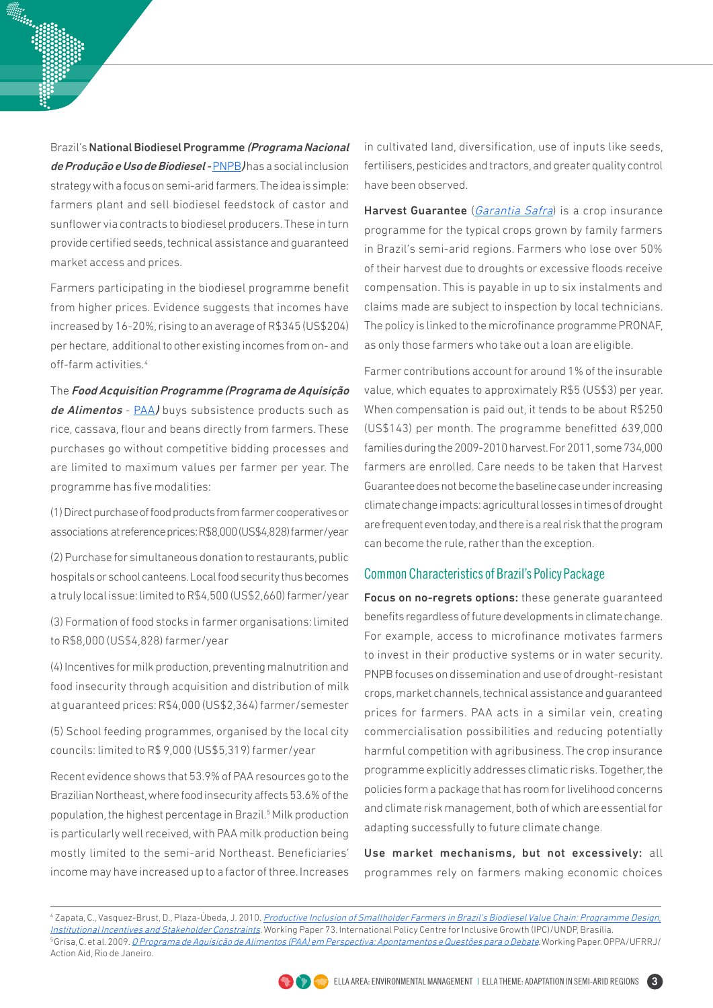Brazil's National Biodiesel Programme (Programa Nacional de Produção e Uso de Biodiesel - [PNPB](http://translate.google.com/translate?hl=en&sl=pt&tl=en&u=http%3A%2F%2Fwww.mda.gov.br%2Fportal%2Fsaf%2Fprogramas%2Fbiodiesel%2F2286217) Jhas a social inclusion strategy with a focus on semi-arid farmers. The idea is simple: farmers plant and sell biodiesel feedstock of castor and sunflower via contracts to biodiesel producers. These in turn provide certified seeds, technical assistance and guaranteed market access and prices.

Farmers participating in the biodiesel programme benefit from higher prices. Evidence suggests that incomes have increased by 16-20%, rising to an average of R\$345 (US\$204) per hectare, additional to other existing incomes from on- and off-farm activities.<sup>4</sup>

The Food Acquisition Programme (Programa de Aquisição de Alimentos - [PAA](http://translate.google.com/translate?hl=en&sl=auto&tl=en&u=http%3A%2F%2Fwww.mds.gov.br%2Fsegurancaalimentar%2Falimentoseabastecimento%2Fpaa)) buys subsistence products such as rice, cassava, flour and beans directly from farmers. These purchases go without competitive bidding processes and are limited to maximum values per farmer per year. The programme has five modalities:

(1) Direct purchase of food products from farmer cooperatives or associations at reference prices: R\$8,000 (US\$4,828) farmer/year

(2) Purchase for simultaneous donation to restaurants, public hospitals or school canteens. Local food security thus becomes a truly local issue: limited to R\$4,500 (US\$2,660) farmer/year

(3) Formation of food stocks in farmer organisations: limited to R\$8,000 (US\$4,828) farmer/year

(4) Incentives for milk production, preventing malnutrition and food insecurity through acquisition and distribution of milk at guaranteed prices: R\$4,000 (US\$2,364) farmer/semester

(5) School feeding programmes, organised by the local city councils: limited to R\$ 9,000 (US\$5,319) farmer/year

Recent evidence shows that 53.9% of PAA resources go to the Brazilian Northeast, where food insecurity affects 53.6% of the population, the highest percentage in Brazil.<sup>5</sup> Milk production is particularly well received, with PAA milk production being mostly limited to the semi-arid Northeast. Beneficiaries' income may have increased up to a factor of three. Increases in cultivated land, diversification, use of inputs like seeds, fertilisers, pesticides and tractors, and greater quality control have been observed.

Harvest Guarantee (*[Garantia Safra](http://translate.google.com/translate?hl=en&sl=pt&tl=en&u=http%3A%2F%2Fwww.mda.gov.br%2Fportal%2Fsaf%2Fprogramas%2Fgarantiasafra)*) is a crop insurance programme for the typical crops grown by family farmers in Brazil's semi-arid regions. Farmers who lose over 50% of their harvest due to droughts or excessive floods receive compensation. This is payable in up to six instalments and claims made are subject to inspection by local technicians. The policy is linked to the microfinance programme PRONAF, as only those farmers who take out a loan are eligible.

Farmer contributions account for around 1% of the insurable value, which equates to approximately R\$5 (US\$3) per year. When compensation is paid out, it tends to be about R\$250 (US\$143) per month. The programme benefitted 639,000 families during the 2009-2010 harvest. For 2011, some 734,000 farmers are enrolled. Care needs to be taken that Harvest Guarantee does not become the baseline case under increasing climate change impacts: agricultural losses in times of drought are frequent even today, and there is a real risk that the program can become the rule, rather than the exception.

#### Common Characteristics of Brazil's Policy Package

Focus on no-regrets options: these generate guaranteed benefits regardless of future developments in climate change. For example, access to microfinance motivates farmers to invest in their productive systems or in water security. PNPB focuses on dissemination and use of drought-resistant crops, market channels, technical assistance and guaranteed prices for farmers. PAA acts in a similar vein, creating commercialisation possibilities and reducing potentially harmful competition with agribusiness. The crop insurance programme explicitly addresses climatic risks. Together, the policies form a package that has room for livelihood concerns and climate risk management, both of which are essential for adapting successfully to future climate change.

Use market mechanisms, but not excessively: all programmes rely on farmers making economic choices

<sup>4</sup> Zapata, C., Vasquez-Brust, D., Plaza-Úbeda, J. 2010. <u>Productive Inclusion of Smallholder Farmers in Brazil's Biodiesel Value Chain: Programme Design,</u> [Institutional Incentives and Stakeholder Constraints](http://www.ipc-undp.org/pub/IPCWorkingPaper73.pdf). Working Paper 73. International Policy Centre for Inclusive Growth (IPC)/UNDP, Brasília. <sup>5</sup> Grisa, C. et al. 2009. *[O Programa de Aquisição de Alimentos \(PAA\) em Perspectiva: Apontamentos e Questões para o Debate](http://translate.google.com/translate?hl=en&sl=pt&tl=en&u=http%3A%2F%2Foppa.net.br%2Facervo%2Fpublicacoes%2FPesquisa_AABR-OPPA_Texto_PAA_versao_livro.pdf)*. Working Paper. OPPA/UFRRJ/ Action Aid, Rio de Janeiro.

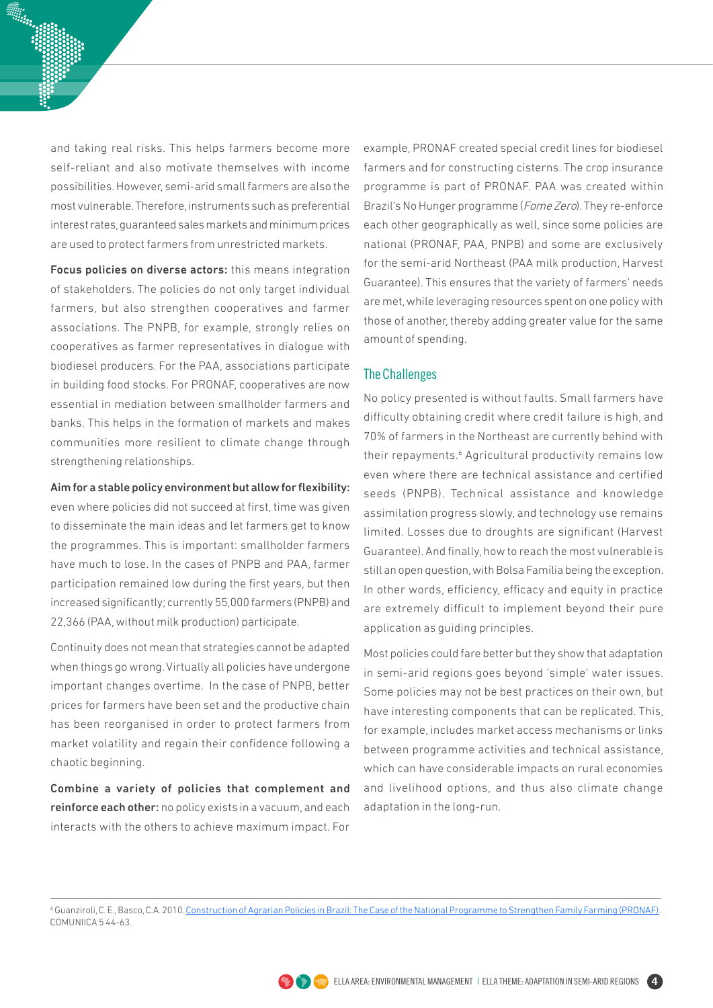and taking real risks. This helps farmers become more self-reliant and also motivate themselves with income possibilities. However, semi-arid small farmers are also the most vulnerable. Therefore, instruments such as preferential interest rates, guaranteed sales markets and minimum prices are used to protect farmers from unrestricted markets.

Focus policies on diverse actors: this means integration of stakeholders. The policies do not only target individual farmers, but also strengthen cooperatives and farmer associations. The PNPB, for example, strongly relies on cooperatives as farmer representatives in dialogue with biodiesel producers. For the PAA, associations participate in building food stocks. For PRONAF, cooperatives are now essential in mediation between smallholder farmers and banks. This helps in the formation of markets and makes communities more resilient to climate change through strengthening relationships.

#### Aim for a stable policy environment but allow for flexibility:

even where policies did not succeed at first, time was given to disseminate the main ideas and let farmers get to know the programmes. This is important: smallholder farmers have much to lose. In the cases of PNPB and PAA, farmer participation remained low during the first years, but then increased significantly; currently 55,000 farmers (PNPB) and 22,366 (PAA, without milk production) participate.

Continuity does not mean that strategies cannot be adapted when things go wrong. Virtually all policies have undergone important changes overtime. In the case of PNPB, better prices for farmers have been set and the productive chain has been reorganised in order to protect farmers from market volatility and regain their confidence following a chaotic beginning.

Combine a variety of policies that complement and reinforce each other: no policy exists in a vacuum, and each interacts with the others to achieve maximum impact. For

example, PRONAF created special credit lines for biodiesel farmers and for constructing cisterns. The crop insurance programme is part of PRONAF. PAA was created within Brazil's No Hunger programme (Fome Zero). They re-enforce each other geographically as well, since some policies are national (PRONAF, PAA, PNPB) and some are exclusively for the semi-arid Northeast (PAA milk production, Harvest Guarantee). This ensures that the variety of farmers' needs are met, while leveraging resources spent on one policy with those of another, thereby adding greater value for the same amount of spending.

#### The Challenges

No policy presented is without faults. Small farmers have difficulty obtaining credit where credit failure is high, and 70% of farmers in the Northeast are currently behind with their repayments.<sup>6</sup> Agricultural productivity remains low even where there are technical assistance and certified seeds (PNPB). Technical assistance and knowledge assimilation progress slowly, and technology use remains limited. Losses due to droughts are significant (Harvest Guarantee). And finally, how to reach the most vulnerable is still an open question, with Bolsa Família being the exception. In other words, efficiency, efficacy and equity in practice are extremely difficult to implement beyond their pure application as guiding principles.

Most policies could fare better but they show that adaptation in semi-arid regions goes beyond 'simple' water issues. Some policies may not be best practices on their own, but have interesting components that can be replicated. This, for example, includes market access mechanisms or links between programme activities and technical assistance, which can have considerable impacts on rural economies and livelihood options, and thus also climate change adaptation in the long-run.

<sup>6</sup> Guanziroli, C. E., Basco, C.A. 2010. [Construction of Agrarian Policies in Brazil: The Case of the National Programme to Strengthen Family Farming \(PRONAF\).](http://webiica.iica.ac.cr/bibliotecas/repiica/B2031i/B2031i.pdf) COMUNIICA 5 44-63.